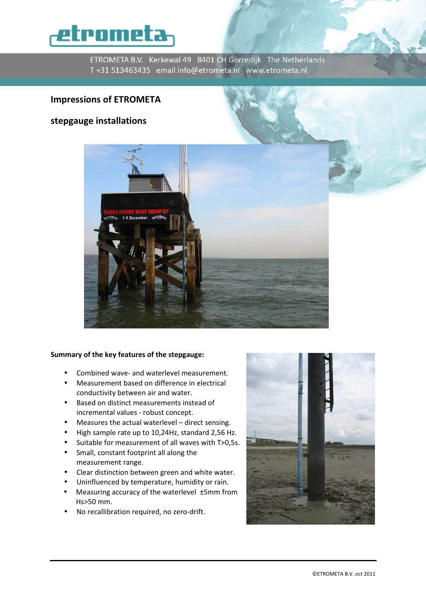

ETROMETA B.V. Kerkewal 49 8401 CH Gorredijk The Netherlands T+31 513463435 email info@etrometa.nl www.etrometa.nl

# Impressions of ETROMETA

# stepgauge installations



## Summary of the key features of the stepgauge:

- Combined wave- and waterlevel measurement.
- Measurement based on difference in electrical conductivity between air and water.
- Based on distinct measurements instead of incremental values - robust concept.
- Measures the actual waterlevel direct sensing.
- High sample rate up to 10,24Hz, standard 2,56 Hz.
- Suitable for measurement of all waves with T>0,5s.
- Small, constant footprint all along the measurement range.
- Clear distinction between green and white water.
- Uninfluenced by temperature, humidity or rain.
- Measuring accuracy of the waterlevel ±5mm from Hs>50 mm.
- No recallibration required, no zero-drift.